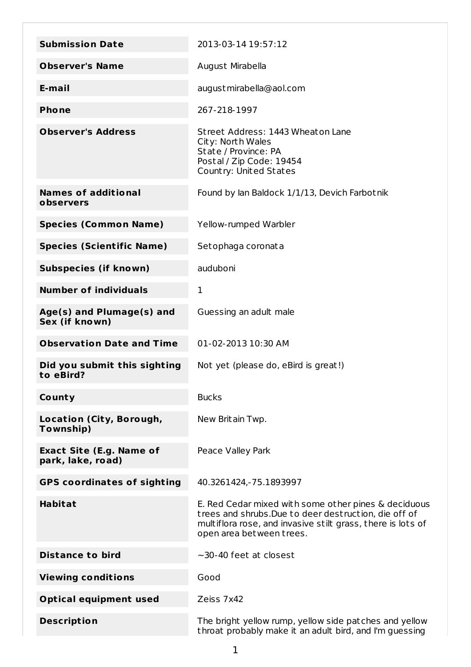| <b>Submission Date</b>                               | 2013-03-14 19:57:12                                                                                                                                                                                      |
|------------------------------------------------------|----------------------------------------------------------------------------------------------------------------------------------------------------------------------------------------------------------|
| <b>Observer's Name</b>                               | August Mirabella                                                                                                                                                                                         |
| E-mail                                               | august mirabella@aol.com                                                                                                                                                                                 |
| <b>Phone</b>                                         | 267-218-1997                                                                                                                                                                                             |
| <b>Observer's Address</b>                            | Street Address: 1443 Wheaton Lane<br>City: North Wales<br>State / Province: PA<br>Postal / Zip Code: 19454<br>Country: United States                                                                     |
| <b>Names of additional</b><br>observers              | Found by Ian Baldock 1/1/13, Devich Farbotnik                                                                                                                                                            |
| <b>Species (Common Name)</b>                         | Yellow-rumped Warbler                                                                                                                                                                                    |
| <b>Species (Scientific Name)</b>                     | Setophaga coronata                                                                                                                                                                                       |
| <b>Subspecies (if known)</b>                         | auduboni                                                                                                                                                                                                 |
| <b>Number of individuals</b>                         | 1                                                                                                                                                                                                        |
| Age(s) and Plumage(s) and<br>Sex (if known)          | Guessing an adult male                                                                                                                                                                                   |
| <b>Observation Date and Time</b>                     | 01-02-2013 10:30 AM                                                                                                                                                                                      |
| Did you submit this sighting<br>to eBird?            | Not yet (please do, eBird is great!)                                                                                                                                                                     |
| County                                               | <b>Bucks</b>                                                                                                                                                                                             |
| Location (City, Borough,<br>Township)                | New Britain Twp.                                                                                                                                                                                         |
| <b>Exact Site (E.g. Name of</b><br>park, lake, road) | Peace Valley Park                                                                                                                                                                                        |
| <b>GPS coordinates of sighting</b>                   | 40.3261424, - 75.1893997                                                                                                                                                                                 |
| <b>Habitat</b>                                       | E. Red Cedar mixed with some other pines & deciduous<br>trees and shrubs. Due to deer destruction, die off of<br>multiflora rose, and invasive stilt grass, there is lots of<br>open area between trees. |
| <b>Distance to bird</b>                              | $\sim$ 30-40 feet at closest                                                                                                                                                                             |
| <b>Viewing conditions</b>                            | Good                                                                                                                                                                                                     |
| <b>Optical equipment used</b>                        | Zeiss 7x42                                                                                                                                                                                               |
| <b>Description</b>                                   | The bright yellow rump, yellow side pat ches and yellow<br>throat probably make it an adult bird, and I'm guessing                                                                                       |